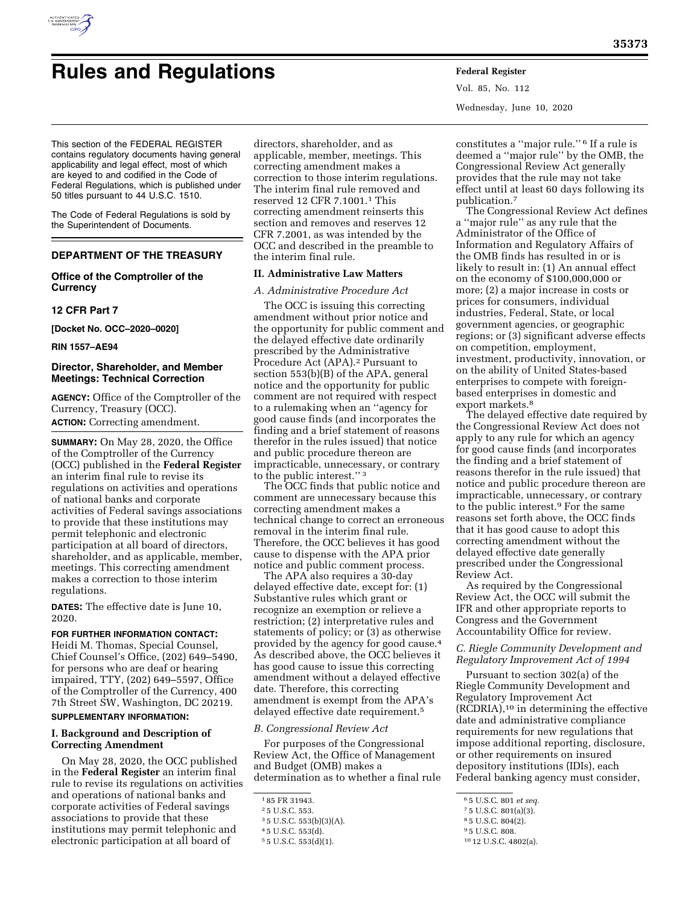

# **Rules and Regulations Federal Register**

Vol. 85, No. 112 Wednesday, June 10, 2020

This section of the FEDERAL REGISTER contains regulatory documents having general applicability and legal effect, most of which are keyed to and codified in the Code of Federal Regulations, which is published under 50 titles pursuant to 44 U.S.C. 1510.

The Code of Federal Regulations is sold by the Superintendent of Documents.

# **DEPARTMENT OF THE TREASURY**

# **Office of the Comptroller of the Currency**

## **12 CFR Part 7**

**[Docket No. OCC–2020–0020]** 

**RIN 1557–AE94** 

# **Director, Shareholder, and Member Meetings: Technical Correction**

**AGENCY:** Office of the Comptroller of the Currency, Treasury (OCC). **ACTION:** Correcting amendment.

**SUMMARY:** On May 28, 2020, the Office of the Comptroller of the Currency (OCC) published in the **Federal Register**  an interim final rule to revise its regulations on activities and operations of national banks and corporate activities of Federal savings associations to provide that these institutions may permit telephonic and electronic participation at all board of directors, shareholder, and as applicable, member, meetings. This correcting amendment makes a correction to those interim regulations.

**DATES:** The effective date is June 10, 2020.

# **FOR FURTHER INFORMATION CONTACT:**

Heidi M. Thomas, Special Counsel, Chief Counsel's Office, (202) 649–5490, for persons who are deaf or hearing impaired, TTY, (202) 649–5597, Office of the Comptroller of the Currency, 400 7th Street SW, Washington, DC 20219. **SUPPLEMENTARY INFORMATION:** 

# **I. Background and Description of Correcting Amendment**

On May 28, 2020, the OCC published in the **Federal Register** an interim final rule to revise its regulations on activities and operations of national banks and corporate activities of Federal savings associations to provide that these institutions may permit telephonic and electronic participation at all board of

directors, shareholder, and as applicable, member, meetings. This correcting amendment makes a correction to those interim regulations. The interim final rule removed and reserved 12 CFR 7.1001.1 This correcting amendment reinserts this section and removes and reserves 12 CFR 7.2001, as was intended by the OCC and described in the preamble to the interim final rule.

# **II. Administrative Law Matters**

### *A. Administrative Procedure Act*

The OCC is issuing this correcting amendment without prior notice and the opportunity for public comment and the delayed effective date ordinarily prescribed by the Administrative Procedure Act (APA).<sup>2</sup> Pursuant to section 553(b)(B) of the APA, general notice and the opportunity for public comment are not required with respect to a rulemaking when an ''agency for good cause finds (and incorporates the finding and a brief statement of reasons therefor in the rules issued) that notice and public procedure thereon are impracticable, unnecessary, or contrary to the public interest.'' 3

The OCC finds that public notice and comment are unnecessary because this correcting amendment makes a technical change to correct an erroneous removal in the interim final rule. Therefore, the OCC believes it has good cause to dispense with the APA prior notice and public comment process.

The APA also requires a 30-day delayed effective date, except for: (1) Substantive rules which grant or recognize an exemption or relieve a restriction; (2) interpretative rules and statements of policy; or (3) as otherwise provided by the agency for good cause.4 As described above, the OCC believes it has good cause to issue this correcting amendment without a delayed effective date. Therefore, this correcting amendment is exempt from the APA's delayed effective date requirement.5

#### *B. Congressional Review Act*

For purposes of the Congressional Review Act, the Office of Management and Budget (OMB) makes a determination as to whether a final rule

constitutes a ''major rule.'' 6 If a rule is deemed a ''major rule'' by the OMB, the Congressional Review Act generally provides that the rule may not take effect until at least 60 days following its publication.7

The Congressional Review Act defines a ''major rule'' as any rule that the Administrator of the Office of Information and Regulatory Affairs of the OMB finds has resulted in or is likely to result in: (1) An annual effect on the economy of \$100,000,000 or more; (2) a major increase in costs or prices for consumers, individual industries, Federal, State, or local government agencies, or geographic regions; or (3) significant adverse effects on competition, employment, investment, productivity, innovation, or on the ability of United States-based enterprises to compete with foreignbased enterprises in domestic and export markets.<sup>8</sup>

The delayed effective date required by the Congressional Review Act does not apply to any rule for which an agency for good cause finds (and incorporates the finding and a brief statement of reasons therefor in the rule issued) that notice and public procedure thereon are impracticable, unnecessary, or contrary to the public interest.9 For the same reasons set forth above, the OCC finds that it has good cause to adopt this correcting amendment without the delayed effective date generally prescribed under the Congressional Review Act.

As required by the Congressional Review Act, the OCC will submit the IFR and other appropriate reports to Congress and the Government Accountability Office for review.

*C. Riegle Community Development and Regulatory Improvement Act of 1994* 

Pursuant to section 302(a) of the Riegle Community Development and Regulatory Improvement Act  $(RCDRIA)$ ,<sup>10</sup> in determining the effective date and administrative compliance requirements for new regulations that impose additional reporting, disclosure, or other requirements on insured depository institutions (IDIs), each Federal banking agency must consider,

<sup>1</sup> 85 FR 31943.

<sup>2</sup> 5 U.S.C. 553.

<sup>3</sup> 5 U.S.C. 553(b)(3)(A).

<sup>4</sup> 5 U.S.C. 553(d).

<sup>5</sup> 5 U.S.C. 553(d)(1).

<sup>6</sup> 5 U.S.C. 801 *et seq.* 

<sup>7</sup> 5 U.S.C. 801(a)(3).

<sup>8</sup> 5 U.S.C. 804(2). 9 5 U.S.C. 808.

<sup>10</sup> 12 U.S.C. 4802(a).